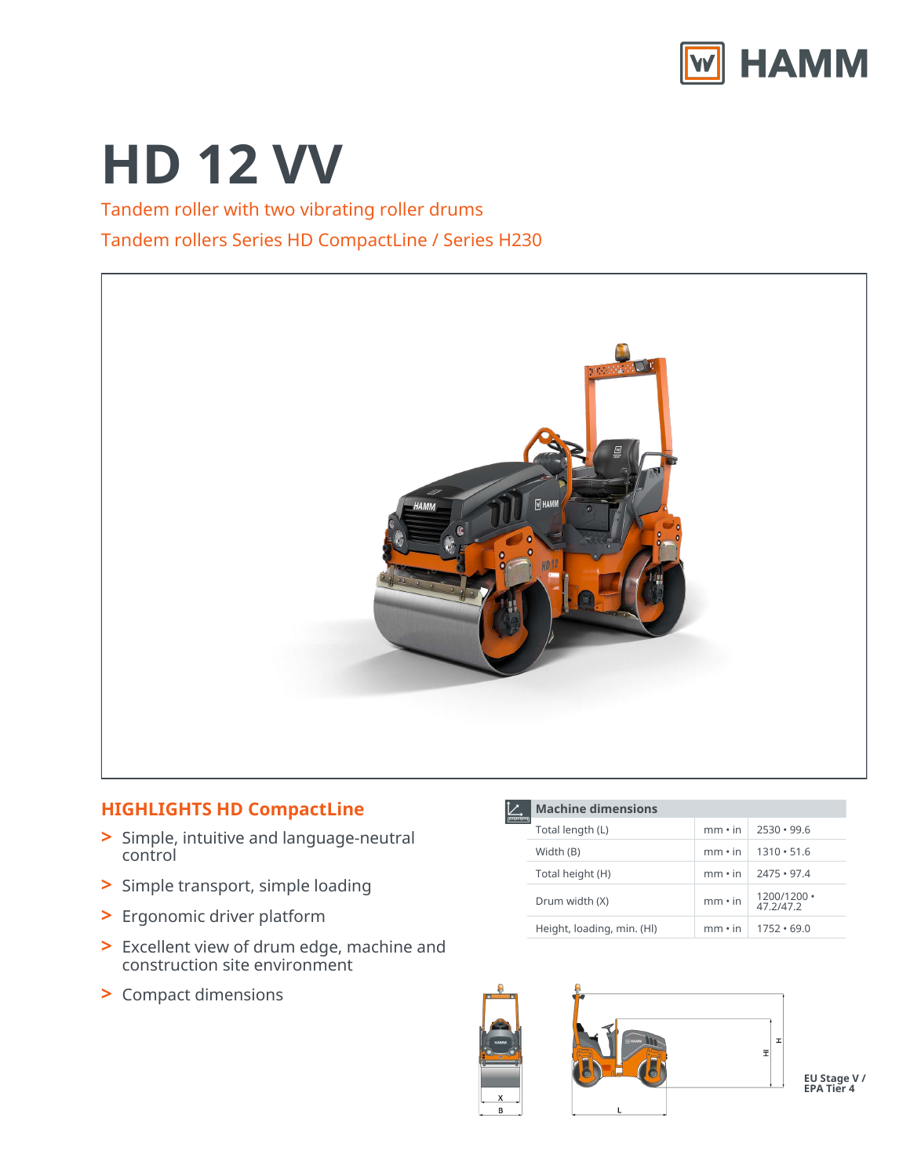

# **HD 12 VV**

## Tandem roller with two vibrating roller drums Tandem rollers Series HD CompactLine / Series H230



### **HIGHLIGHTS HD CompactLine**

- Simple, intuitive and language-neutral control **>**
- **>** Simple transport, simple loading
- **>** Ergonomic driver platform
- Excellent view of drum edge, machine and construction site environment **>**
- **>** Compact dimensions

| <b>Machine dimensions</b>  |               |                                |  |  |
|----------------------------|---------------|--------------------------------|--|--|
| Total length (L)           | $mm \cdot in$ | $2530 \cdot 99.6$              |  |  |
| Width (B)                  | $mm \cdot in$ | $1310 \cdot 51.6$              |  |  |
| Total height (H)           | $mm \cdot in$ | $2475 \cdot 97.4$              |  |  |
| Drum width (X)             | $mm \cdot in$ | $1200/1200 \cdot$<br>47.2/47.2 |  |  |
| Height, loading, min. (HI) | $mm \cdot in$ | $1752 \cdot 69.0$              |  |  |



**EU Stage V / EPA Tier 4**